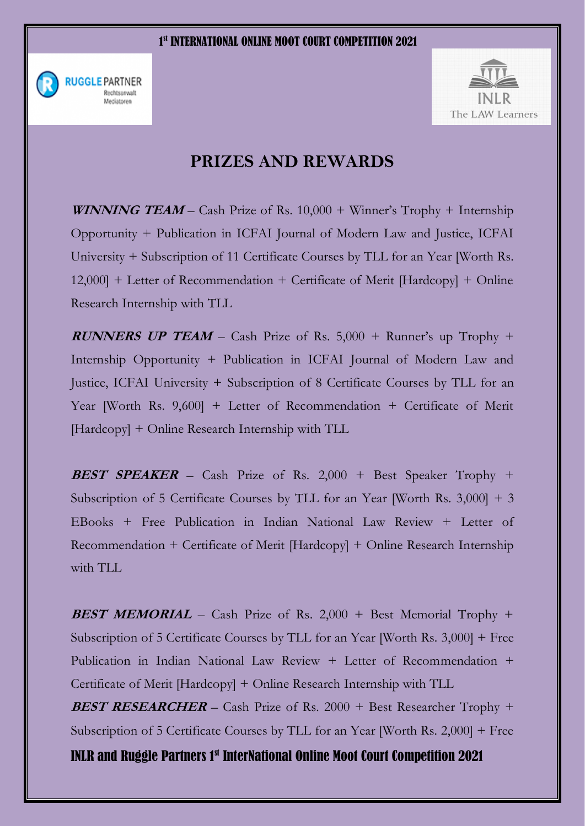



## **PRIZES AND REWARDS**

**WINNING TEAM** – Cash Prize of Rs. 10,000 + Winner's Trophy + Internship Opportunity + Publication in ICFAI Journal of Modern Law and Justice, ICFAI University + Subscription of 11 Certificate Courses by TLL for an Year [Worth Rs. 12,000] + Letter of Recommendation + Certificate of Merit [Hardcopy] + Online Research Internship with TLL

**RUNNERS UP TEAM** – Cash Prize of Rs. 5,000 + Runner's up Trophy + Internship Opportunity + Publication in ICFAI Journal of Modern Law and Justice, ICFAI University + Subscription of 8 Certificate Courses by TLL for an Year [Worth Rs. 9,600] + Letter of Recommendation + Certificate of Merit [Hardcopy] + Online Research Internship with TLL

**BEST SPEAKER** – Cash Prize of Rs. 2,000 + Best Speaker Trophy + Subscription of 5 Certificate Courses by TLL for an Year [Worth Rs. 3,000] + 3 EBooks + Free Publication in Indian National Law Review + Letter of Recommendation + Certificate of Merit [Hardcopy] + Online Research Internship with TLL

**BEST MEMORIAL** – Cash Prize of Rs. 2,000 + Best Memorial Trophy + Subscription of 5 Certificate Courses by TLL for an Year [Worth Rs. 3,000] + Free Publication in Indian National Law Review + Letter of Recommendation + Certificate of Merit [Hardcopy] + Online Research Internship with TLL

**BEST RESEARCHER** – Cash Prize of Rs. 2000 + Best Researcher Trophy + Subscription of 5 Certificate Courses by TLL for an Year [Worth Rs. 2,000] + Free

INLR and Ruggle Partners 1st InterNational Online Moot Court Competition 2021